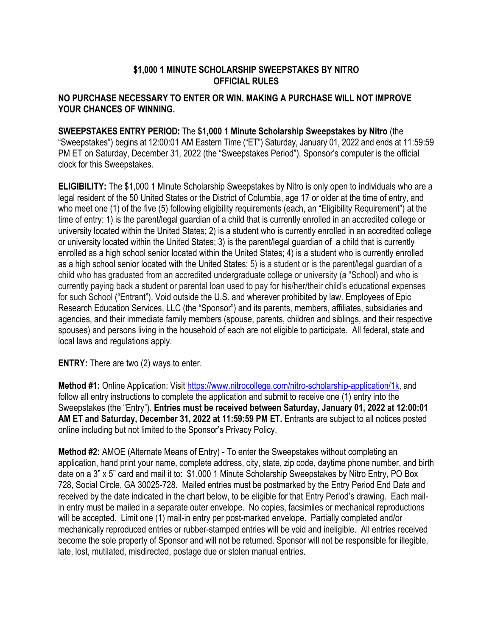## **\$1,000 1 MINUTE SCHOLARSHIP SWEEPSTAKES BY NITRO OFFICIAL RULES**

## **NO PURCHASE NECESSARY TO ENTER OR WIN. MAKING A PURCHASE WILL NOT IMPROVE YOUR CHANCES OF WINNING.**

## **SWEEPSTAKES ENTRY PERIOD:** The **\$1,000 1 Minute Scholarship Sweepstakes by Nitro** (the

"Sweepstakes") begins at 12:00:01 AM Eastern Time ("ET") Saturday, January 01, 2022 and ends at 11:59:59 PM ET on Saturday, December 31, 2022 (the "Sweepstakes Period"). Sponsor's computer is the official clock for this Sweepstakes.

**ELIGIBILITY:** The \$1,000 1 Minute Scholarship Sweepstakes by Nitro is only open to individuals who are a legal resident of the 50 United States or the District of Columbia, age 17 or older at the time of entry, and who meet one (1) of the five (5) following eligibility requirements (each, an "Eligibility Requirement") at the time of entry: 1) is the parent/legal guardian of a child that is currently enrolled in an accredited college or university located within the United States; 2) is a student who is currently enrolled in an accredited college or university located within the United States; 3) is the parent/legal guardian of a child that is currently enrolled as a high school senior located within the United States; 4) is a student who is currently enrolled as a high school senior located with the United States; 5) is a student or is the parent/legal guardian of a child who has graduated from an accredited undergraduate college or university (a "School) and who is currently paying back a student or parental loan used to pay for his/her/their child's educational expenses for such School ("Entrant"). Void outside the U.S. and wherever prohibited by law. Employees of Epic Research Education Services, LLC (the "Sponsor") and its parents, members, affiliates, subsidiaries and agencies, and their immediate family members (spouse, parents, children and siblings, and their respective spouses) and persons living in the household of each are not eligible to participate. All federal, state and local laws and regulations apply.

**ENTRY:** There are two (2) ways to enter.

**Method #1:** Online Application: Visit https://www.nitrocollege.com/nitro-scholarship-application/1k, and follow all entry instructions to complete the application and submit to receive one (1) entry into the Sweepstakes (the "Entry"). **Entries must be received between Saturday, January 01, 2022 at 12:00:01 AM ET and Saturday, December 31, 2022 at 11:59:59 PM ET.** Entrants are subject to all notices posted online including but not limited to the Sponsor's Privacy Policy.

**Method #2:** AMOE (Alternate Means of Entry) - To enter the Sweepstakes without completing an application, hand print your name, complete address, city, state, zip code, daytime phone number, and birth date on a 3" x 5" card and mail it to: \$1,000 1 Minute Scholarship Sweepstakes by Nitro Entry, PO Box 728, Social Circle, GA 30025-728. Mailed entries must be postmarked by the Entry Period End Date and received by the date indicated in the chart below, to be eligible for that Entry Period's drawing. Each mailin entry must be mailed in a separate outer envelope. No copies, facsimiles or mechanical reproductions will be accepted. Limit one (1) mail-in entry per post-marked envelope. Partially completed and/or mechanically reproduced entries or rubber-stamped entries will be void and ineligible. All entries received become the sole property of Sponsor and will not be returned. Sponsor will not be responsible for illegible, late, lost, mutilated, misdirected, postage due or stolen manual entries.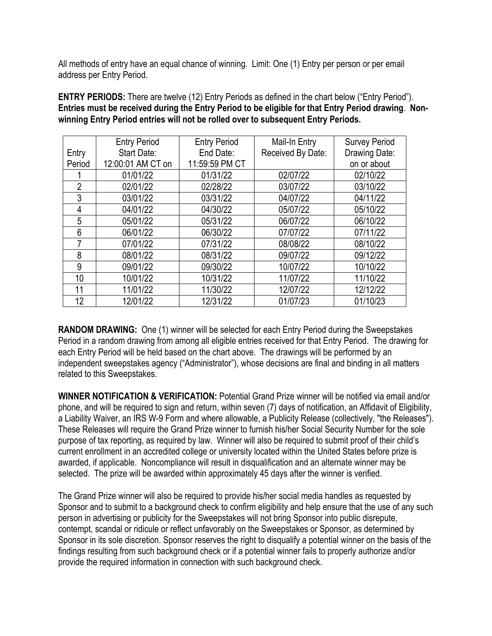All methods of entry have an equal chance of winning. Limit: One (1) Entry per person or per email address per Entry Period.

**ENTRY PERIODS:** There are twelve (12) Entry Periods as defined in the chart below ("Entry Period"). **Entries must be received during the Entry Period to be eligible for that Entry Period drawing**. **Nonwinning Entry Period entries will not be rolled over to subsequent Entry Periods.** 

|                | <b>Entry Period</b> | <b>Entry Period</b> | Mail-In Entry     | <b>Survey Period</b> |
|----------------|---------------------|---------------------|-------------------|----------------------|
| Entry          | Start Date:         | End Date:           | Received By Date: | Drawing Date:        |
| Period         | 12:00:01 AM CT on   | 11:59:59 PM CT      |                   | on or about          |
|                | 01/01/22            | 01/31/22            | 02/07/22          | 02/10/22             |
| $\overline{2}$ | 02/01/22            | 02/28/22            | 03/07/22          | 03/10/22             |
| 3              | 03/01/22            | 03/31/22            | 04/07/22          | 04/11/22             |
| 4              | 04/01/22            | 04/30/22            | 05/07/22          | 05/10/22             |
| 5              | 05/01/22            | 05/31/22            | 06/07/22          | 06/10/22             |
| 6              | 06/01/22            | 06/30/22            | 07/07/22          | 07/11/22             |
| 7              | 07/01/22            | 07/31/22            | 08/08/22          | 08/10/22             |
| 8              | 08/01/22            | 08/31/22            | 09/07/22          | 09/12/22             |
| 9              | 09/01/22            | 09/30/22            | 10/07/22          | 10/10/22             |
| 10             | 10/01/22            | 10/31/22            | 11/07/22          | 11/10/22             |
| 11             | 11/01/22            | 11/30/22            | 12/07/22          | 12/12/22             |
| 12             | 12/01/22            | 12/31/22            | 01/07/23          | 01/10/23             |

**RANDOM DRAWING:** One (1) winner will be selected for each Entry Period during the Sweepstakes Period in a random drawing from among all eligible entries received for that Entry Period. The drawing for each Entry Period will be held based on the chart above. The drawings will be performed by an independent sweepstakes agency ("Administrator"), whose decisions are final and binding in all matters related to this Sweepstakes.

**WINNER NOTIFICATION & VERIFICATION:** Potential Grand Prize winner will be notified via email and/or phone, and will be required to sign and return, within seven (7) days of notification, an Affidavit of Eligibility, a Liability Waiver, an IRS W-9 Form and where allowable, a Publicity Release (collectively, "the Releases"). These Releases will require the Grand Prize winner to furnish his/her Social Security Number for the sole purpose of tax reporting, as required by law. Winner will also be required to submit proof of their child's current enrollment in an accredited college or university located within the United States before prize is awarded, if applicable. Noncompliance will result in disqualification and an alternate winner may be selected.The prize will be awarded within approximately 45 days after the winner is verified.

The Grand Prize winner will also be required to provide his/her social media handles as requested by Sponsor and to submit to a background check to confirm eligibility and help ensure that the use of any such person in advertising or publicity for the Sweepstakes will not bring Sponsor into public disrepute, contempt, scandal or ridicule or reflect unfavorably on the Sweepstakes or Sponsor, as determined by Sponsor in its sole discretion. Sponsor reserves the right to disqualify a potential winner on the basis of the findings resulting from such background check or if a potential winner fails to properly authorize and/or provide the required information in connection with such background check.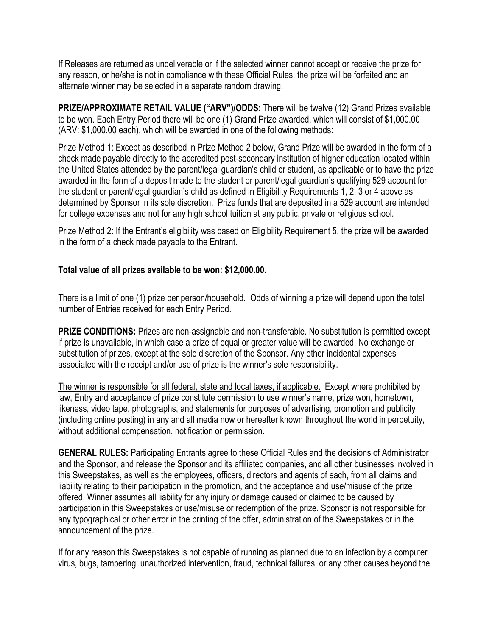If Releases are returned as undeliverable or if the selected winner cannot accept or receive the prize for any reason, or he/she is not in compliance with these Official Rules, the prize will be forfeited and an alternate winner may be selected in a separate random drawing.

**PRIZE/APPROXIMATE RETAIL VALUE ("ARV")/ODDS:** There will be twelve (12) Grand Prizes available to be won. Each Entry Period there will be one (1) Grand Prize awarded, which will consist of \$1,000.00 (ARV: \$1,000.00 each), which will be awarded in one of the following methods:

Prize Method 1: Except as described in Prize Method 2 below, Grand Prize will be awarded in the form of a check made payable directly to the accredited post-secondary institution of higher education located within the United States attended by the parent/legal guardian's child or student, as applicable or to have the prize awarded in the form of a deposit made to the student or parent/legal guardian's qualifying 529 account for the student or parent/legal guardian's child as defined in Eligibility Requirements 1, 2, 3 or 4 above as determined by Sponsor in its sole discretion. Prize funds that are deposited in a 529 account are intended for college expenses and not for any high school tuition at any public, private or religious school.

Prize Method 2: If the Entrant's eligibility was based on Eligibility Requirement 5, the prize will be awarded in the form of a check made payable to the Entrant.

## **Total value of all prizes available to be won: \$12,000.00.**

There is a limit of one (1) prize per person/household. Odds of winning a prize will depend upon the total number of Entries received for each Entry Period.

**PRIZE CONDITIONS:** Prizes are non-assignable and non-transferable. No substitution is permitted except if prize is unavailable, in which case a prize of equal or greater value will be awarded. No exchange or substitution of prizes, except at the sole discretion of the Sponsor. Any other incidental expenses associated with the receipt and/or use of prize is the winner's sole responsibility.

The winner is responsible for all federal, state and local taxes, if applicable. Except where prohibited by law, Entry and acceptance of prize constitute permission to use winner's name, prize won, hometown, likeness, video tape, photographs, and statements for purposes of advertising, promotion and publicity (including online posting) in any and all media now or hereafter known throughout the world in perpetuity, without additional compensation, notification or permission.

**GENERAL RULES:** Participating Entrants agree to these Official Rules and the decisions of Administrator and the Sponsor, and release the Sponsor and its affiliated companies, and all other businesses involved in this Sweepstakes, as well as the employees, officers, directors and agents of each, from all claims and liability relating to their participation in the promotion, and the acceptance and use/misuse of the prize offered. Winner assumes all liability for any injury or damage caused or claimed to be caused by participation in this Sweepstakes or use/misuse or redemption of the prize. Sponsor is not responsible for any typographical or other error in the printing of the offer, administration of the Sweepstakes or in the announcement of the prize.

If for any reason this Sweepstakes is not capable of running as planned due to an infection by a computer virus, bugs, tampering, unauthorized intervention, fraud, technical failures, or any other causes beyond the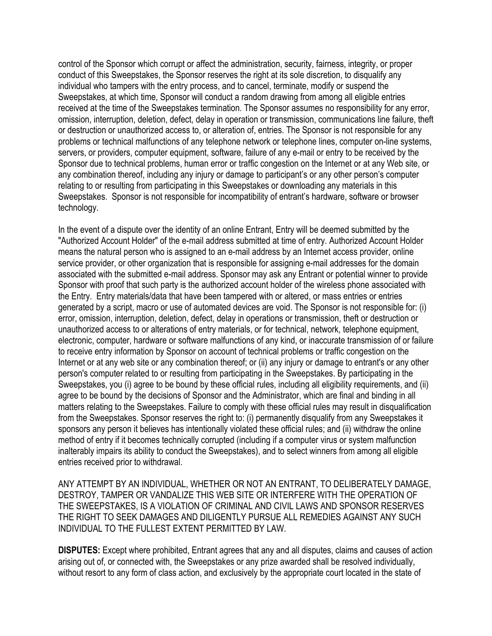control of the Sponsor which corrupt or affect the administration, security, fairness, integrity, or proper conduct of this Sweepstakes, the Sponsor reserves the right at its sole discretion, to disqualify any individual who tampers with the entry process, and to cancel, terminate, modify or suspend the Sweepstakes, at which time, Sponsor will conduct a random drawing from among all eligible entries received at the time of the Sweepstakes termination. The Sponsor assumes no responsibility for any error, omission, interruption, deletion, defect, delay in operation or transmission, communications line failure, theft or destruction or unauthorized access to, or alteration of, entries. The Sponsor is not responsible for any problems or technical malfunctions of any telephone network or telephone lines, computer on-line systems, servers, or providers, computer equipment, software, failure of any e-mail or entry to be received by the Sponsor due to technical problems, human error or traffic congestion on the Internet or at any Web site, or any combination thereof, including any injury or damage to participant's or any other person's computer relating to or resulting from participating in this Sweepstakes or downloading any materials in this Sweepstakes. Sponsor is not responsible for incompatibility of entrant's hardware, software or browser technology.

In the event of a dispute over the identity of an online Entrant, Entry will be deemed submitted by the "Authorized Account Holder" of the e-mail address submitted at time of entry. Authorized Account Holder means the natural person who is assigned to an e-mail address by an Internet access provider, online service provider, or other organization that is responsible for assigning e-mail addresses for the domain associated with the submitted e-mail address. Sponsor may ask any Entrant or potential winner to provide Sponsor with proof that such party is the authorized account holder of the wireless phone associated with the Entry. Entry materials/data that have been tampered with or altered, or mass entries or entries generated by a script, macro or use of automated devices are void. The Sponsor is not responsible for: (i) error, omission, interruption, deletion, defect, delay in operations or transmission, theft or destruction or unauthorized access to or alterations of entry materials, or for technical, network, telephone equipment, electronic, computer, hardware or software malfunctions of any kind, or inaccurate transmission of or failure to receive entry information by Sponsor on account of technical problems or traffic congestion on the Internet or at any web site or any combination thereof; or (ii) any injury or damage to entrant's or any other person's computer related to or resulting from participating in the Sweepstakes. By participating in the Sweepstakes, you (i) agree to be bound by these official rules, including all eligibility requirements, and (ii) agree to be bound by the decisions of Sponsor and the Administrator, which are final and binding in all matters relating to the Sweepstakes. Failure to comply with these official rules may result in disqualification from the Sweepstakes. Sponsor reserves the right to: (i) permanently disqualify from any Sweepstakes it sponsors any person it believes has intentionally violated these official rules; and (ii) withdraw the online method of entry if it becomes technically corrupted (including if a computer virus or system malfunction inalterably impairs its ability to conduct the Sweepstakes), and to select winners from among all eligible entries received prior to withdrawal.

ANY ATTEMPT BY AN INDIVIDUAL, WHETHER OR NOT AN ENTRANT, TO DELIBERATELY DAMAGE, DESTROY, TAMPER OR VANDALIZE THIS WEB SITE OR INTERFERE WITH THE OPERATION OF THE SWEEPSTAKES, IS A VIOLATION OF CRIMINAL AND CIVIL LAWS AND SPONSOR RESERVES THE RIGHT TO SEEK DAMAGES AND DILIGENTLY PURSUE ALL REMEDIES AGAINST ANY SUCH INDIVIDUAL TO THE FULLEST EXTENT PERMITTED BY LAW.

**DISPUTES:** Except where prohibited, Entrant agrees that any and all disputes, claims and causes of action arising out of, or connected with, the Sweepstakes or any prize awarded shall be resolved individually, without resort to any form of class action, and exclusively by the appropriate court located in the state of